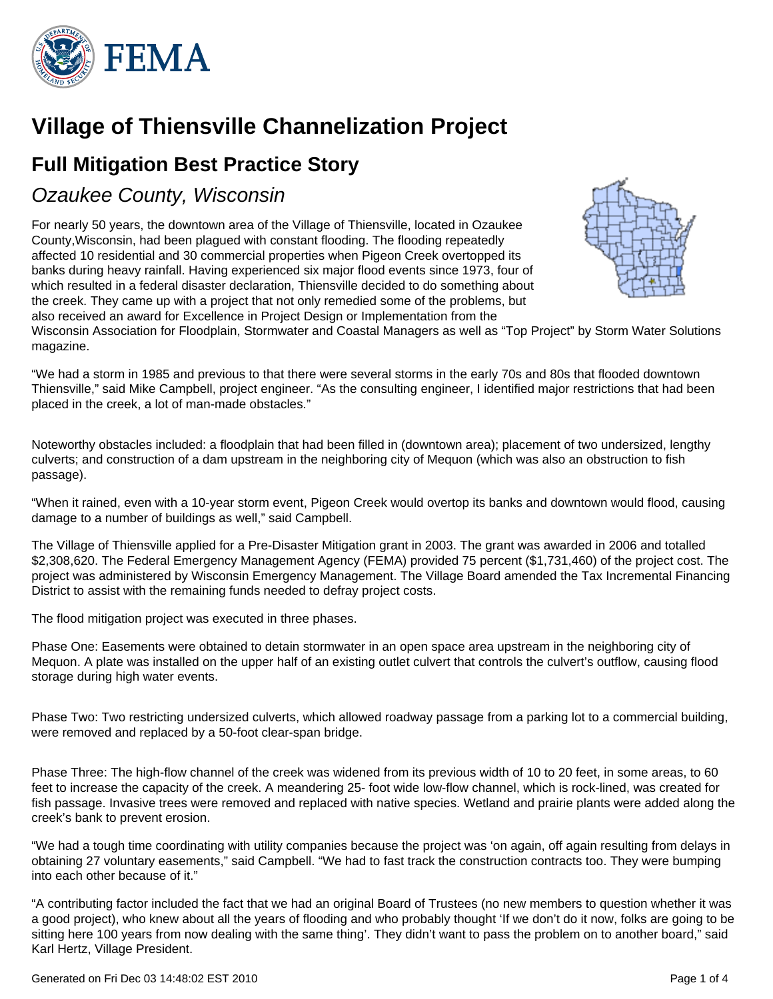

# **Village of Thiensville Channelization Project**

## **Full Mitigation Best Practice Story**

### Ozaukee County, Wisconsin

For nearly 50 years, the downtown area of the Village of Thiensville, located in Ozaukee County,Wisconsin, had been plagued with constant flooding. The flooding repeatedly affected 10 residential and 30 commercial properties when Pigeon Creek overtopped its banks during heavy rainfall. Having experienced six major flood events since 1973, four of which resulted in a federal disaster declaration, Thiensville decided to do something about the creek. They came up with a project that not only remedied some of the problems, but also received an award for Excellence in Project Design or Implementation from the



Wisconsin Association for Floodplain, Stormwater and Coastal Managers as well as "Top Project" by Storm Water Solutions magazine.

"We had a storm in 1985 and previous to that there were several storms in the early 70s and 80s that flooded downtown Thiensville," said Mike Campbell, project engineer. "As the consulting engineer, I identified major restrictions that had been placed in the creek, a lot of man-made obstacles."

Noteworthy obstacles included: a floodplain that had been filled in (downtown area); placement of two undersized, lengthy culverts; and construction of a dam upstream in the neighboring city of Mequon (which was also an obstruction to fish passage).

"When it rained, even with a 10-year storm event, Pigeon Creek would overtop its banks and downtown would flood, causing damage to a number of buildings as well," said Campbell.

The Village of Thiensville applied for a Pre-Disaster Mitigation grant in 2003. The grant was awarded in 2006 and totalled \$2,308,620. The Federal Emergency Management Agency (FEMA) provided 75 percent (\$1,731,460) of the project cost. The project was administered by Wisconsin Emergency Management. The Village Board amended the Tax Incremental Financing District to assist with the remaining funds needed to defray project costs.

The flood mitigation project was executed in three phases.

Phase One: Easements were obtained to detain stormwater in an open space area upstream in the neighboring city of Mequon. A plate was installed on the upper half of an existing outlet culvert that controls the culvert's outflow, causing flood storage during high water events.

Phase Two: Two restricting undersized culverts, which allowed roadway passage from a parking lot to a commercial building, were removed and replaced by a 50-foot clear-span bridge.

Phase Three: The high-flow channel of the creek was widened from its previous width of 10 to 20 feet, in some areas, to 60 feet to increase the capacity of the creek. A meandering 25- foot wide low-flow channel, which is rock-lined, was created for fish passage. Invasive trees were removed and replaced with native species. Wetland and prairie plants were added along the creek's bank to prevent erosion.

"We had a tough time coordinating with utility companies because the project was 'on again, off again resulting from delays in obtaining 27 voluntary easements," said Campbell. "We had to fast track the construction contracts too. They were bumping into each other because of it."

"A contributing factor included the fact that we had an original Board of Trustees (no new members to question whether it was a good project), who knew about all the years of flooding and who probably thought 'If we don't do it now, folks are going to be sitting here 100 years from now dealing with the same thing'. They didn't want to pass the problem on to another board," said Karl Hertz, Village President.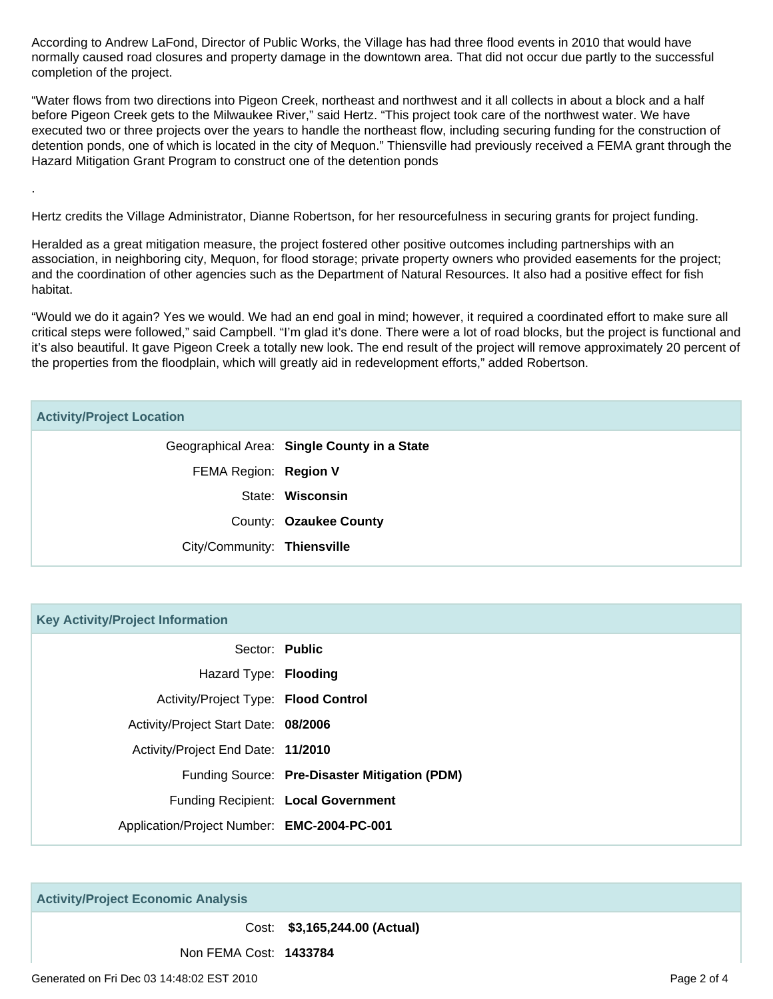According to Andrew LaFond, Director of Public Works, the Village has had three flood events in 2010 that would have normally caused road closures and property damage in the downtown area. That did not occur due partly to the successful completion of the project.

"Water flows from two directions into Pigeon Creek, northeast and northwest and it all collects in about a block and a half before Pigeon Creek gets to the Milwaukee River," said Hertz. "This project took care of the northwest water. We have executed two or three projects over the years to handle the northeast flow, including securing funding for the construction of detention ponds, one of which is located in the city of Mequon." Thiensville had previously received a FEMA grant through the Hazard Mitigation Grant Program to construct one of the detention ponds

Hertz credits the Village Administrator, Dianne Robertson, for her resourcefulness in securing grants for project funding.

Heralded as a great mitigation measure, the project fostered other positive outcomes including partnerships with an association, in neighboring city, Mequon, for flood storage; private property owners who provided easements for the project; and the coordination of other agencies such as the Department of Natural Resources. It also had a positive effect for fish habitat.

"Would we do it again? Yes we would. We had an end goal in mind; however, it required a coordinated effort to make sure all critical steps were followed," said Campbell. "I'm glad it's done. There were a lot of road blocks, but the project is functional and it's also beautiful. It gave Pigeon Creek a totally new look. The end result of the project will remove approximately 20 percent of the properties from the floodplain, which will greatly aid in redevelopment efforts," added Robertson.

#### **Activity/Project Location**

.

| Geographical Area: Single County in a State |
|---------------------------------------------|
| FEMA Region: Region V                       |
| State: Wisconsin                            |
| County: Ozaukee County                      |
| City/Community: Thiensville                 |
|                                             |

#### **Key Activity/Project Information**

|                                             | Sector: Public                                |
|---------------------------------------------|-----------------------------------------------|
| Hazard Type: Flooding                       |                                               |
| Activity/Project Type: Flood Control        |                                               |
| Activity/Project Start Date: 08/2006        |                                               |
| Activity/Project End Date: 11/2010          |                                               |
|                                             | Funding Source: Pre-Disaster Mitigation (PDM) |
|                                             | Funding Recipient: Local Government           |
| Application/Project Number: EMC-2004-PC-001 |                                               |

**Activity/Project Economic Analysis**

Cost: **\$3,165,244.00 (Actual)**

Non FEMA Cost: **1433784**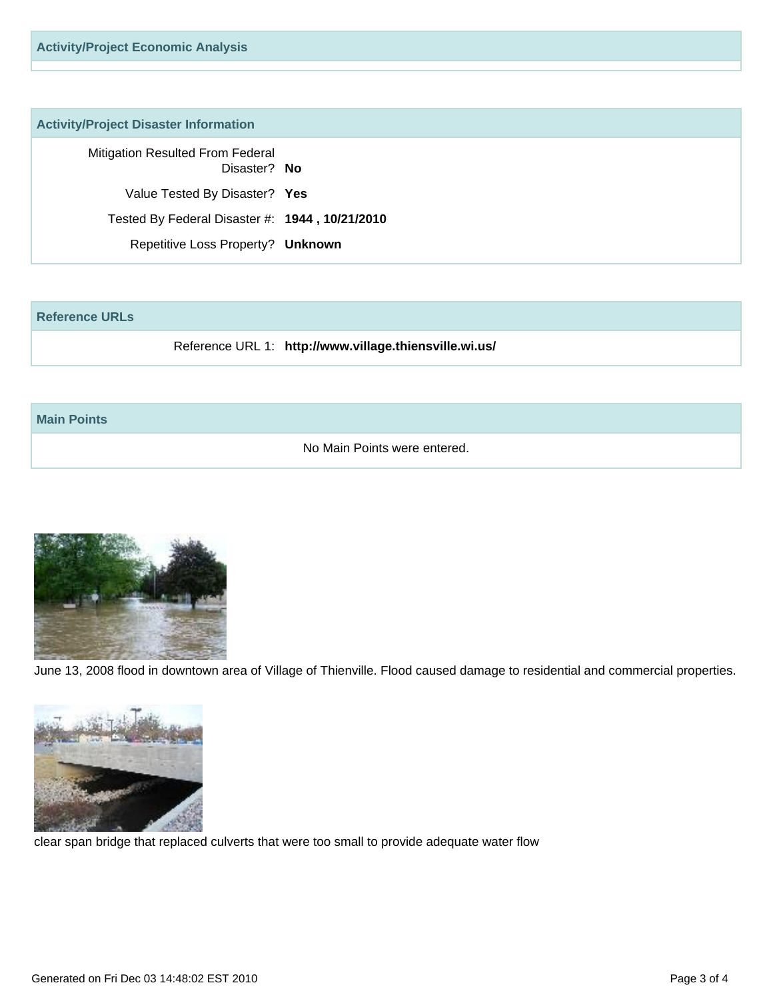#### **Activity/Project Disaster Information**

Mitigation Resulted From Federal Disaster? **No**

Value Tested By Disaster? **Yes**

Tested By Federal Disaster #: **1944 , 10/21/2010**

Repetitive Loss Property? **Unknown**

#### **Reference URLs**

Reference URL 1: **http://www.village.thiensville.wi.us/**

#### **Main Points**

No Main Points were entered.



June 13, 2008 flood in downtown area of Village of Thienville. Flood caused damage to residential and commercial properties.



clear span bridge that replaced culverts that were too small to provide adequate water flow